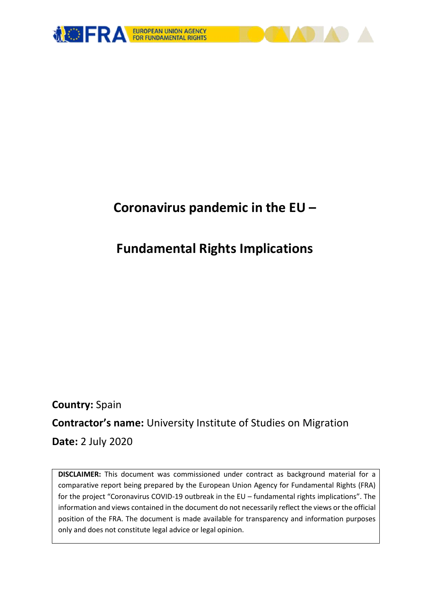

# **Coronavirus pandemic in the EU –**

# **Fundamental Rights Implications**

**Country:** Spain **Contractor's name:** University Institute of Studies on Migration **Date:** 2 July 2020

**DISCLAIMER:** This document was commissioned under contract as background material for a comparative report being prepared by the European Union Agency for Fundamental Rights (FRA) for the project "Coronavirus COVID-19 outbreak in the EU – fundamental rights implications". The information and views contained in the document do not necessarily reflect the views or the official position of the FRA. The document is made available for transparency and information purposes only and does not constitute legal advice or legal opinion.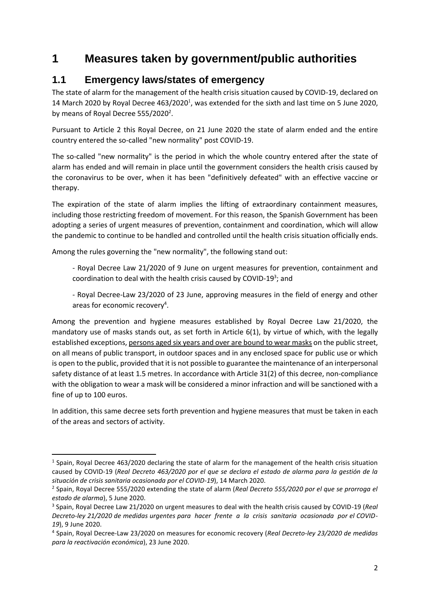# **1 Measures taken by government/public authorities**

### **1.1 Emergency laws/states of emergency**

The state of alarm for the management of the health crisis situation caused by COVID-19, declared on 14 March 2020 by Royal Decree  $463/2020<sup>1</sup>$ , was extended for the sixth and last time on 5 June 2020, by means of Royal Decree 555/2020<sup>2</sup>.

Pursuant to Article 2 this Royal Decree, on 21 June 2020 the state of alarm ended and the entire country entered the so-called "new normality" post COVID-19.

The so-called "new normality" is the period in which the whole country entered after the state of alarm has ended and will remain in place until the government considers the health crisis caused by the coronavirus to be over, when it has been "definitively defeated" with an effective vaccine or therapy.

The expiration of the state of alarm implies the lifting of extraordinary containment measures, including those restricting freedom of movement. For this reason, the Spanish Government has been adopting a series of urgent measures of prevention, containment and coordination, which will allow the pandemic to continue to be handled and controlled until the health crisis situation officially ends.

Among the rules governing the "new normality", the following stand out:

1

- Royal Decree Law 21/2020 of 9 June on urgent measures for prevention, containment and coordination to deal with the health crisis caused by COVID-19<sup>3</sup>; and

- Royal Decree-Law 23/2020 of 23 June, approving measures in the field of energy and other areas for economic recovery<sup>4</sup>.

Among the prevention and hygiene measures established by Royal Decree Law 21/2020, the mandatory use of masks stands out, as set forth in Article 6(1), by virtue of which, with the legally established exceptions, persons aged six years and over are bound to wear masks on the public street, on all means of public transport, in outdoor spaces and in any enclosed space for public use or which is open to the public, provided that it is not possible to guarantee the maintenance of an interpersonal safety distance of at least 1.5 metres. In accordance with Article 31(2) of this decree, non-compliance with the obligation to wear a mask will be considered a minor infraction and will be sanctioned with a fine of up to 100 euros.

In addition, this same decree sets forth prevention and hygiene measures that must be taken in each of the areas and sectors of activity.

<sup>&</sup>lt;sup>1</sup> Spain, Royal Decree 463/2020 declaring the state of alarm for the management of the health crisis situation caused by COVID-19 (*Real Decreto 463/2020 por el que se declara el estado de alarma para la gestión de la situación de crisis sanitaria ocasionada por el COVID-19*), 14 March 2020.

<sup>2</sup> Spain, Royal Decree 555/2020 extending the state of alarm (*Real Decreto 555/2020 por el que se prorroga el estado de alarma*), 5 June 2020.

<sup>3</sup> Spain, Royal Decree Law 21/2020 on urgent measures to deal with the health crisis caused by COVID-19 (*Real Decreto-ley 21/2020 de medidas urgentes para hacer frente a la crisis sanitaria ocasionada por el COVID-19*), 9 June 2020.

<sup>4</sup> Spain, Royal Decree-Law 23/2020 on measures for economic recovery (*Real Decreto-ley 23/2020 de medidas para la reactivación económica*), 23 June 2020.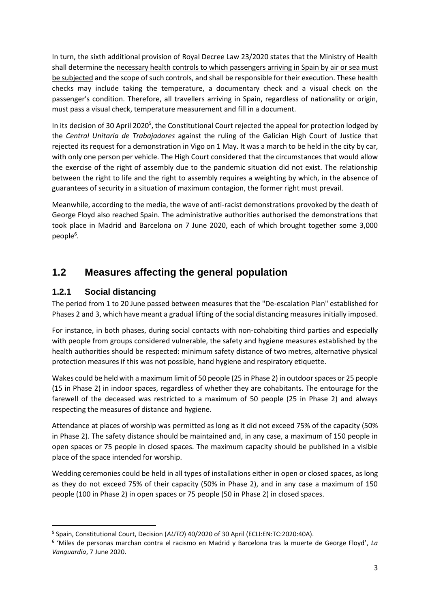In turn, the sixth additional provision of Royal Decree Law 23/2020 states that the Ministry of Health shall determine the necessary health controls to which passengers arriving in Spain by air or sea must be subjected and the scope of such controls, and shall be responsible for their execution. These health checks may include taking the temperature, a documentary check and a visual check on the passenger's condition. Therefore, all travellers arriving in Spain, regardless of nationality or origin, must pass a visual check, temperature measurement and fill in a document.

In its decision of 30 April 2020<sup>5</sup>, the Constitutional Court rejected the appeal for protection lodged by the *Central Unitaria de Trabajadores* against the ruling of the Galician High Court of Justice that rejected its request for a demonstration in Vigo on 1 May. It was a march to be held in the city by car, with only one person per vehicle. The High Court considered that the circumstances that would allow the exercise of the right of assembly due to the pandemic situation did not exist. The relationship between the right to life and the right to assembly requires a weighting by which, in the absence of guarantees of security in a situation of maximum contagion, the former right must prevail.

Meanwhile, according to the media, the wave of anti-racist demonstrations provoked by the death of George Floyd also reached Spain. The administrative authorities authorised the demonstrations that took place in Madrid and Barcelona on 7 June 2020, each of which brought together some 3,000 people<sup>6</sup>.

### **1.2 Measures affecting the general population**

#### **1.2.1 Social distancing**

**.** 

The period from 1 to 20 June passed between measures that the "De-escalation Plan" established for Phases 2 and 3, which have meant a gradual lifting of the social distancing measures initially imposed.

For instance, in both phases, during social contacts with non-cohabiting third parties and especially with people from groups considered vulnerable, the safety and hygiene measures established by the health authorities should be respected: minimum safety distance of two metres, alternative physical protection measures if this was not possible, hand hygiene and respiratory etiquette.

Wakes could be held with a maximum limit of 50 people (25 in Phase 2) in outdoor spaces or 25 people (15 in Phase 2) in indoor spaces, regardless of whether they are cohabitants. The entourage for the farewell of the deceased was restricted to a maximum of 50 people (25 in Phase 2) and always respecting the measures of distance and hygiene.

Attendance at places of worship was permitted as long as it did not exceed 75% of the capacity (50% in Phase 2). The safety distance should be maintained and, in any case, a maximum of 150 people in open spaces or 75 people in closed spaces. The maximum capacity should be published in a visible place of the space intended for worship.

Wedding ceremonies could be held in all types of installations either in open or closed spaces, as long as they do not exceed 75% of their capacity (50% in Phase 2), and in any case a maximum of 150 people (100 in Phase 2) in open spaces or 75 people (50 in Phase 2) in closed spaces.

<sup>5</sup> Spain, Constitutional Court, Decision (*AUTO*) 40/2020 of 30 April (ECLI:EN:TC:2020:40A).

<sup>6</sup> 'Miles de personas marchan contra el racismo en Madrid y Barcelona tras la muerte de George Floyd', *La Vanguardia*, 7 June 2020.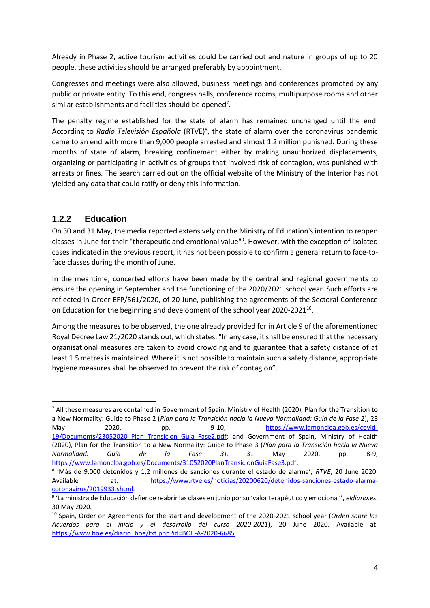Already in Phase 2, active tourism activities could be carried out and nature in groups of up to 20 people, these activities should be arranged preferably by appointment.

Congresses and meetings were also allowed, business meetings and conferences promoted by any public or private entity. To this end, congress halls, conference rooms, multipurpose rooms and other similar establishments and facilities should be opened<sup>7</sup>.

The penalty regime established for the state of alarm has remained unchanged until the end. According to Radio Televisión Española (RTVE)<sup>8</sup>, the state of alarm over the coronavirus pandemic came to an end with more than 9,000 people arrested and almost 1.2 million punished. During these months of state of alarm, breaking confinement either by making unauthorized displacements, organizing or participating in activities of groups that involved risk of contagion, was punished with arrests or fines. The search carried out on the official website of the Ministry of the Interior has not yielded any data that could ratify or deny this information.

#### **1.2.2 Education**

**.** 

On 30 and 31 May, the media reported extensively on the Ministry of Education's intention to reopen classes in June for their "therapeutic and emotional value"<sup>9</sup> . However, with the exception of isolated cases indicated in the previous report, it has not been possible to confirm a general return to face-toface classes during the month of June.

In the meantime, concerted efforts have been made by the central and regional governments to ensure the opening in September and the functioning of the 2020/2021 school year. Such efforts are reflected in Order EFP/561/2020, of 20 June, publishing the agreements of the Sectoral Conference on Education for the beginning and development of the school year 2020-2021<sup>10</sup>.

Among the measures to be observed, the one already provided for in Article 9 of the aforementioned Royal Decree Law 21/2020 stands out, which states: "In any case, it shall be ensured that the necessary organisational measures are taken to avoid crowding and to guarantee that a safety distance of at least 1.5 metres is maintained. Where it is not possible to maintain such a safety distance, appropriate hygiene measures shall be observed to prevent the risk of contagion".

 $7$  All these measures are contained in Government of Spain, Ministry of Health (2020), Plan for the Transition to a New Normality: Guide to Phase 2 (*Plan para la Transición hacia la Nueva Normalidad: Guía de la Fase 2*), 23 May 2020, pp. 9-10, [https://www.lamoncloa.gob.es/covid-](about:blank)19/Documents/23052020 Plan Transicion Guia Fase2.pdf; and Government of Spain, Ministry of Health (2020), Plan for the Transition to a New Normality: Guide to Phase 3 (*Plan para la Transición hacia la Nueva Normalidad: Guía de la Fase 3*), 31 May 2020, pp. 8-9, [https://www.lamoncloa.gob.es/Documents/31052020PlanTransicionGuiaFase3.pdf.](about:blank)

<sup>8</sup> 'Más de 9.000 detenidos y 1,2 millones de sanciones durante el estado de alarma', *RTVE*, 20 June 2020. Available at: [https://www.rtve.es/noticias/20200620/detenidos-sanciones-estado-alarma](about:blank)[coronavirus/2019933.shtml.](about:blank) 

<sup>9</sup> 'La ministra de Educación defiende reabrir las clases en junio por su 'valor terapéutico y emocional'', *eldiario.es*, 30 May 2020.

<sup>10</sup> Spain, Order on Agreements for the start and development of the 2020-2021 school year (*Orden sobre los Acuerdos para el inicio y el desarrollo del curso 2020-2021*), 20 June 2020. Available at: [https://www.boe.es/diario\\_boe/txt.php?id=BOE-A-2020-6685](https://www.boe.es/diario_boe/txt.php?id=BOE-A-2020-6685)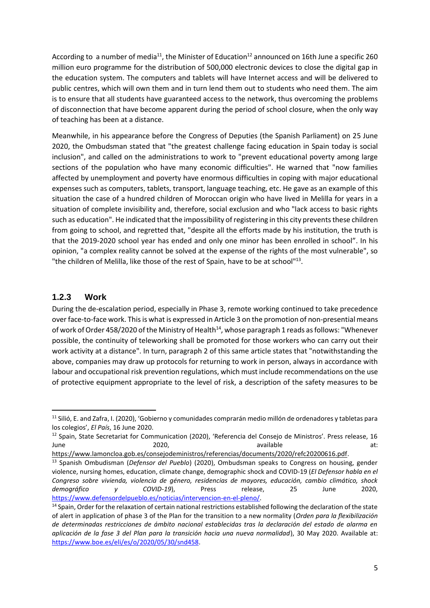According to a number of media<sup>11</sup>, the Minister of Education<sup>12</sup> announced on 16th June a specific 260 million euro programme for the distribution of 500,000 electronic devices to close the digital gap in the education system. The computers and tablets will have Internet access and will be delivered to public centres, which will own them and in turn lend them out to students who need them. The aim is to ensure that all students have guaranteed access to the network, thus overcoming the problems of disconnection that have become apparent during the period of school closure, when the only way of teaching has been at a distance.

Meanwhile, in his appearance before the Congress of Deputies (the Spanish Parliament) on 25 June 2020, the Ombudsman stated that "the greatest challenge facing education in Spain today is social inclusion", and called on the administrations to work to "prevent educational poverty among large sections of the population who have many economic difficulties". He warned that "now families affected by unemployment and poverty have enormous difficulties in coping with major educational expenses such as computers, tablets, transport, language teaching, etc. He gave as an example of this situation the case of a hundred children of Moroccan origin who have lived in Melilla for years in a situation of complete invisibility and, therefore, social exclusion and who "lack access to basic rights such as education". He indicated that the impossibility of registering in this city prevents these children from going to school, and regretted that, "despite all the efforts made by his institution, the truth is that the 2019-2020 school year has ended and only one minor has been enrolled in school". In his opinion, "a complex reality cannot be solved at the expense of the rights of the most vulnerable", so "the children of Melilla, like those of the rest of Spain, have to be at school"<sup>13</sup>.

#### **1.2.3 Work**

1

During the de-escalation period, especially in Phase 3, remote working continued to take precedence over face-to-face work. This is what is expressed in Article 3 on the promotion of non-presential means of work of Order 458/2020 of the Ministry of Health<sup>14</sup>, whose paragraph 1 reads as follows: "Whenever possible, the continuity of teleworking shall be promoted for those workers who can carry out their work activity at a distance". In turn, paragraph 2 of this same article states that "notwithstanding the above, companies may draw up protocols for returning to work in person, always in accordance with labour and occupational risk prevention regulations, which must include recommendations on the use of protective equipment appropriate to the level of risk, a description of the safety measures to be

<sup>&</sup>lt;sup>11</sup> Silió, E. and Zafra, I. (2020), 'Gobierno y comunidades comprarán medio millón de ordenadores y tabletas para los colegios', *El País*, 16 June 2020.

<sup>12</sup> Spain, State Secretariat for Communication (2020), 'Referencia del Consejo de Ministros'. Press release, 16 June 2020, 2020, available at:

[https://www.lamoncloa.gob.es/consejodeministros/referencias/documents/2020/refc20200616.pdf.](https://www.lamoncloa.gob.es/consejodeministros/referencias/documents/2020/refc20200616.pdf)

<sup>13</sup> Spanish Ombudisman (*Defensor del Pueblo*) (2020), Ombudsman speaks to Congress on housing, gender violence, nursing homes, education, climate change, demographic shock and COVID-19 (*El Defensor habla en el Congreso sobre vivienda, violencia de género, residencias de mayores, educación, cambio climático, shock demográfico y COVID-19*), Press release, 25 June 2020, [https://www.defensordelpueblo.es/noticias/intervencion-en-el-pleno/.](about:blank)

<sup>&</sup>lt;sup>14</sup> Spain, Order for the relaxation of certain national restrictions established following the declaration of the state of alert in application of phase 3 of the Plan for the transition to a new normality (*Orden para la flexibilización de determinadas restricciones de ámbito nacional establecidas tras la declaración del estado de alarma en aplicación de la fase 3 del Plan para la transición hacia una nueva normalidad*), 30 May 2020. Available at: [https://www.boe.es/eli/es/o/2020/05/30/snd458.](about:blank)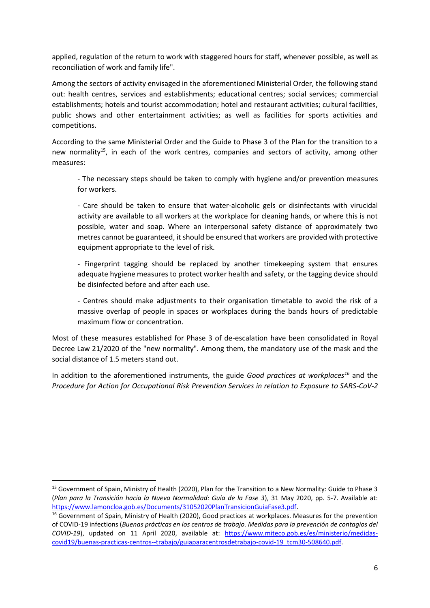applied, regulation of the return to work with staggered hours for staff, whenever possible, as well as reconciliation of work and family life".

Among the sectors of activity envisaged in the aforementioned Ministerial Order, the following stand out: health centres, services and establishments; educational centres; social services; commercial establishments; hotels and tourist accommodation; hotel and restaurant activities; cultural facilities, public shows and other entertainment activities; as well as facilities for sports activities and competitions.

According to the same Ministerial Order and the Guide to Phase 3 of the Plan for the transition to a new normality<sup>15</sup>, in each of the work centres, companies and sectors of activity, among other measures:

- The necessary steps should be taken to comply with hygiene and/or prevention measures for workers.

- Care should be taken to ensure that water-alcoholic gels or disinfectants with virucidal activity are available to all workers at the workplace for cleaning hands, or where this is not possible, water and soap. Where an interpersonal safety distance of approximately two metres cannot be guaranteed, it should be ensured that workers are provided with protective equipment appropriate to the level of risk.

- Fingerprint tagging should be replaced by another timekeeping system that ensures adequate hygiene measures to protect worker health and safety, or the tagging device should be disinfected before and after each use.

- Centres should make adjustments to their organisation timetable to avoid the risk of a massive overlap of people in spaces or workplaces during the bands hours of predictable maximum flow or concentration.

Most of these measures established for Phase 3 of de-escalation have been consolidated in Royal Decree Law 21/2020 of the "new normality". Among them, the mandatory use of the mask and the social distance of 1.5 meters stand out.

In addition to the aforementioned instruments, the guide *Good practices at workplaces<sup>16</sup>* and the *Procedure for Action for Occupational Risk Prevention Services in relation to Exposure to SARS-CoV-2*

**.** 

<sup>&</sup>lt;sup>15</sup> Government of Spain, Ministry of Health (2020), Plan for the Transition to a New Normality: Guide to Phase 3 (*Plan para la Transición hacia la Nueva Normalidad: Guía de la Fase 3*), 31 May 2020, pp. 5-7. Available at: [https://www.lamoncloa.gob.es/Documents/31052020PlanTransicionGuiaFase3.pdf.](about:blank)

<sup>&</sup>lt;sup>16</sup> Government of Spain, Ministry of Health (2020), Good practices at workplaces. Measures for the prevention of COVID-19 infections (*Buenas prácticas en los centros de trabajo. Medidas para la prevención de contagios del COVID-19*), updated on 11 April 2020, available at: [https://www.miteco.gob.es/es/ministerio/medidas](about:blank)[covid19/buenas-practicas-centros--trabajo/guiaparacentrosdetrabajo-covid-19\\_tcm30-508640.pdf.](about:blank)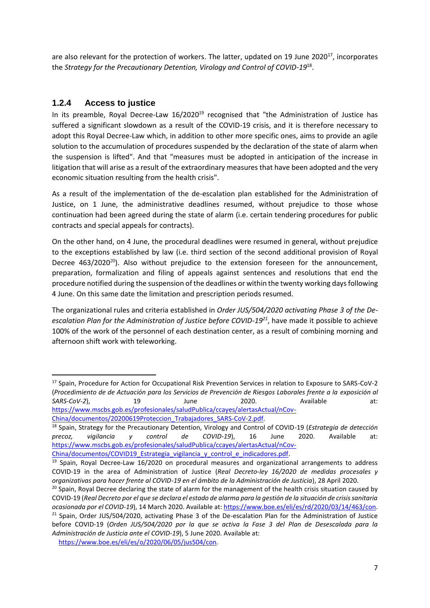are also relevant for the protection of workers. The latter, updated on 19 June 2020 $^{17}$ , incorporates the *Strategy for the Precautionary Detention, Virology and Control of COVID-19*<sup>18</sup> .

#### **1.2.4 Access to justice**

**.** 

In its preamble, Royal Decree-Law 16/2020<sup>19</sup> recognised that "the Administration of Justice has suffered a significant slowdown as a result of the COVID-19 crisis, and it is therefore necessary to adopt this Royal Decree-Law which, in addition to other more specific ones, aims to provide an agile solution to the accumulation of procedures suspended by the declaration of the state of alarm when the suspension is lifted". And that "measures must be adopted in anticipation of the increase in litigation that will arise as a result of the extraordinary measures that have been adopted and the very economic situation resulting from the health crisis".

As a result of the implementation of the de-escalation plan established for the Administration of Justice, on 1 June, the administrative deadlines resumed, without prejudice to those whose continuation had been agreed during the state of alarm (i.e. certain tendering procedures for public contracts and special appeals for contracts).

On the other hand, on 4 June, the procedural deadlines were resumed in general, without prejudice to the exceptions established by law (i.e. third section of the second additional provision of Royal Decree 463/2020<sup>20</sup>). Also without prejudice to the extension foreseen for the announcement, preparation, formalization and filing of appeals against sentences and resolutions that end the procedure notified during the suspension of the deadlines or within the twenty working days following 4 June. On this same date the limitation and prescription periods resumed.

The organizational rules and criteria established in *Order JUS/504/2020 activating Phase 3 of the Deescalation Plan for the Administration of Justice before COVID-19<sup>21</sup>*, have made it possible to achieve 100% of the work of the personnel of each destination center, as a result of combining morning and afternoon shift work with teleworking.

```
China/documentos/20200619Proteccion_Trabajadores_SARS-CoV-2.pdf.
```
<sup>17</sup> Spain, Procedure for Action for Occupational Risk Prevention Services in relation to Exposure to SARS-CoV-2 (*Procedimiento de de Actuación para los Servicios de Prevención de Riesgos Laborales frente a la exposición al SARS-CoV-2*), 19 June 2020. Available at: [https://www.mscbs.gob.es/profesionales/saludPublica/ccayes/alertasActual/nCov-](about:blank)

<sup>18</sup> Spain, Strategy for the Precautionary Detention, Virology and Control of COVID-19 (*Estrategia de detección precoz, vigilancia y control de COVID-19*), 16 June 2020. Available at: [https://www.mscbs.gob.es/profesionales/saludPublica/ccayes/alertasActual/nCov-](about:blank)

China/documentos/COVID19 Estrategia vigilancia y control e indicadores.pdf.

 $19$  Spain, Royal Decree-Law 16/2020 on procedural measures and organizational arrangements to address COVID-19 in the area of Administration of Justice (*Real Decreto-ley 16/2020 de medidas procesales y organizativas para hacer frente al COVID-19 en el ámbito de la Administración de Justicia*), 28 April 2020.

<sup>&</sup>lt;sup>20</sup> Spain, Royal Decree declaring the state of alarm for the management of the health crisis situation caused by COVID-19 (*Real Decreto por el que se declara el estado de alarma para la gestión de la situación de crisis sanitaria ocasionada por el COVID-19*), 14 March 2020. Available at: [https://www.boe.es/eli/es/rd/2020/03/14/463/con.](about:blank) <sup>21</sup> Spain, Order JUS/504/2020, activating Phase 3 of the De-escalation Plan for the Administration of Justice before COVID-19 (*Orden JUS/504/2020 por la que se activa la Fase 3 del Plan de Desescalada para la Administración de Justicia ante el COVID-19*), 5 June 2020. Available at:

[https://www.boe.es/eli/es/o/2020/06/05/jus504/con.](about:blank)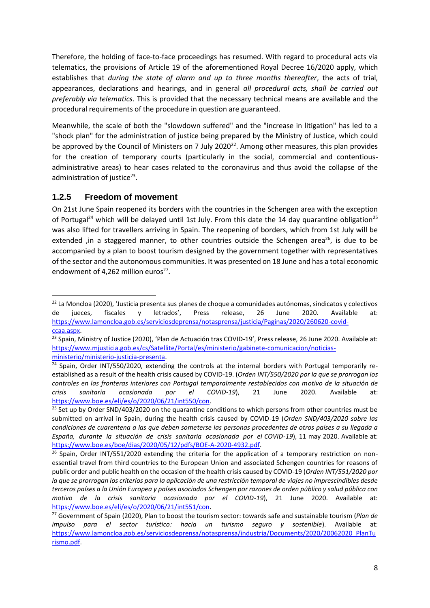Therefore, the holding of face-to-face proceedings has resumed. With regard to procedural acts via telematics, the provisions of Article 19 of the aforementioned Royal Decree 16/2020 apply, which establishes that *during the state of alarm and up to three months thereafter*, the acts of trial, appearances, declarations and hearings, and in general *all procedural acts, shall be carried out preferably via telematics*. This is provided that the necessary technical means are available and the procedural requirements of the procedure in question are guaranteed.

Meanwhile, the scale of both the "slowdown suffered" and the "increase in litigation" has led to a "shock plan" for the administration of justice being prepared by the Ministry of Justice, which could be approved by the Council of Ministers on 7 July 2020<sup>22</sup>. Among other measures, this plan provides for the creation of temporary courts (particularly in the social, commercial and contentiousadministrative areas) to hear cases related to the coronavirus and thus avoid the collapse of the administration of justice<sup>23</sup>.

#### **1.2.5 Freedom of movement**

**.** 

On 21st June Spain reopened its borders with the countries in the Schengen area with the exception of Portugal<sup>24</sup> which will be delayed until 1st July. From this date the 14 day quarantine obligation<sup>25</sup> was also lifted for travellers arriving in Spain. The reopening of borders, which from 1st July will be extended , in a staggered manner, to other countries outside the Schengen area<sup>26</sup>, is due to be accompanied by a plan to boost tourism designed by the government together with representatives of the sector and the autonomous communities. It was presented on 18 June and has a total economic endowment of 4,262 million euros<sup>27</sup>.

<sup>&</sup>lt;sup>22</sup> La Moncloa (2020), 'Justicia presenta sus planes de choque a comunidades autónomas, sindicatos y colectivos de jueces, fiscales y letrados', Press release, 26 June 2020. Available at: [https://www.lamoncloa.gob.es/serviciosdeprensa/notasprensa/justicia/Paginas/2020/260620-covid](about:blank)[ccaa.aspx.](about:blank)

<sup>&</sup>lt;sup>23</sup> Spain, Ministry of Justice (2020), 'Plan de Actuación tras COVID-19', Press release, 26 June 2020. Available at: [https://www.mjusticia.gob.es/cs/Satellite/Portal/es/ministerio/gabinete-comunicacion/noticias](about:blank)[ministerio/ministerio-justicia-presenta.](about:blank)

<sup>&</sup>lt;sup>24</sup> Spain, Order INT/550/2020, extending the controls at the internal borders with Portugal temporarily reestablished as a result of the health crisis caused by COVID-19. (*Orden INT/550/2020 por la que se prorrogan los controles en las fronteras interiores con Portugal temporalmente restablecidos con motivo de la situación de crisis sanitaria ocasionada por el COVID-19*), 21 June 2020. Available at: [https://www.boe.es/eli/es/o/2020/06/21/int550/con.](about:blank) 

 $25$  Set up by Order SND/403/2020 on the quarantine conditions to which persons from other countries must be submitted on arrival in Spain, during the health crisis caused by COVID-19 (*Orden SND/403/2020 sobre las condiciones de cuarentena a las que deben someterse las personas procedentes de otros países a su llegada a España, durante la situación de crisis sanitaria ocasionada por el COVID-19*), 11 may 2020. Available at: [https://www.boe.es/boe/dias/2020/05/12/pdfs/BOE-A-2020-4932.pdf.](about:blank)

 $26$  Spain, Order INT/551/2020 extending the criteria for the application of a temporary restriction on nonessential travel from third countries to the European Union and associated Schengen countries for reasons of public order and public health on the occasion of the health crisis caused by COVID-19 (*Orden INT/551/2020 por la que se prorrogan los criterios para la aplicación de una restricción temporal de viajes no imprescindibles desde terceros países a la Unión Europea y países asociados Schengen por razones de orden público y salud pública con motivo de la crisis sanitaria ocasionada por el COVID-19*), 21 June 2020. Available at: [https://www.boe.es/eli/es/o/2020/06/21/int551/con.](about:blank) 

<sup>27</sup> Government of Spain (2020), Plan to boost the tourism sector: towards safe and sustainable tourism (*Plan de impulso para el sector turístico: hacia un turismo seguro y sostenible*). Available at: [https://www.lamoncloa.gob.es/serviciosdeprensa/notasprensa/industria/Documents/2020/20062020\\_PlanTu](about:blank) [rismo.pdf.](about:blank)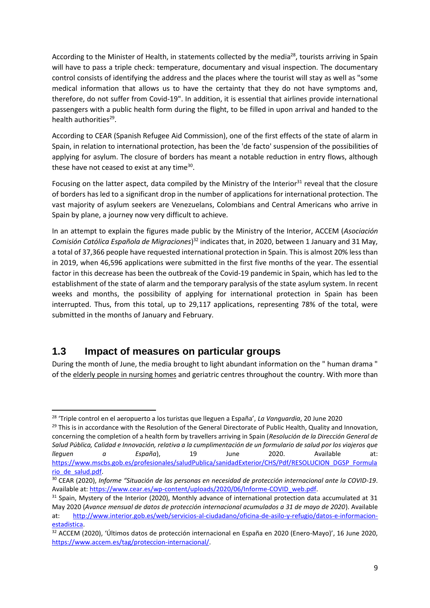According to the Minister of Health, in statements collected by the media<sup>28</sup>, tourists arriving in Spain will have to pass a triple check: temperature, documentary and visual inspection. The documentary control consists of identifying the address and the places where the tourist will stay as well as "some medical information that allows us to have the certainty that they do not have symptoms and, therefore, do not suffer from Covid-19". In addition, it is essential that airlines provide international passengers with a public health form during the flight, to be filled in upon arrival and handed to the health authorities<sup>29</sup>.

According to CEAR (Spanish Refugee Aid Commission), one of the first effects of the state of alarm in Spain, in relation to international protection, has been the 'de facto' suspension of the possibilities of applying for asylum. The closure of borders has meant a notable reduction in entry flows, although these have not ceased to exist at any time<sup>30</sup>.

Focusing on the latter aspect, data compiled by the Ministry of the Interior<sup>31</sup> reveal that the closure of borders has led to a significant drop in the number of applications for international protection. The vast majority of asylum seekers are Venezuelans, Colombians and Central Americans who arrive in Spain by plane, a journey now very difficult to achieve.

In an attempt to explain the figures made public by the Ministry of the Interior, ACCEM (*Asociación*  Comisión Católica Española de Migraciones)<sup>32</sup> indicates that, in 2020, between 1 January and 31 May, a total of 37,366 people have requested international protection in Spain. This is almost 20% less than in 2019, when 46,596 applications were submitted in the first five months of the year. The essential factor in this decrease has been the outbreak of the Covid-19 pandemic in Spain, which has led to the establishment of the state of alarm and the temporary paralysis of the state asylum system. In recent weeks and months, the possibility of applying for international protection in Spain has been interrupted. Thus, from this total, up to 29,117 applications, representing 78% of the total, were submitted in the months of January and February.

#### **1.3 Impact of measures on particular groups**

1

During the month of June, the media brought to light abundant information on the " human drama " of the elderly people in nursing homes and geriatric centres throughout the country. With more than

<sup>28</sup> 'Triple control en el aeropuerto a los turistas que lleguen a España', *La Vanguardia*, 20 June 2020

<sup>&</sup>lt;sup>29</sup> This is in accordance with the Resolution of the General Directorate of Public Health, Quality and Innovation, concerning the completion of a health form by travellers arriving in Spain (*Resolución de la Dirección General de Salud Pública, Calidad e Innovación, relativa a la cumplimentación de un formulario de salud por los viajeros que lleguen a España*), 19 June 2020. Available at: [https://www.mscbs.gob.es/profesionales/saludPublica/sanidadExterior/CHS/Pdf/RESOLUCION\\_DGSP\\_Formula](about:blank) [rio\\_de\\_salud.pdf.](about:blank)

<sup>30</sup> CEAR (2020), *Informe "Situación de las personas en necesidad de protección internacional ante la COVID-19*. Available at: [https://www.cear.es/wp-content/uploads/2020/06/Informe-COVID\\_web.pdf.](about:blank)

<sup>&</sup>lt;sup>31</sup> Spain, Mystery of the Interior (2020), Monthly advance of international protection data accumulated at 31 May 2020 (*Avance mensual de datos de protección internacional acumulados a 31 de mayo de 2020*). Available at: [http://www.interior.gob.es/web/servicios-al-ciudadano/oficina-de-asilo-y-refugio/datos-e-informacion](about:blank)[estadistica.](about:blank)

<sup>32</sup> ACCEM (2020), 'Últimos datos de protección internacional en España en 2020 (Enero-Mayo)', 16 June 2020, [https://www.accem.es/tag/proteccion-internacional/.](https://www.accem.es/tag/proteccion-internacional/)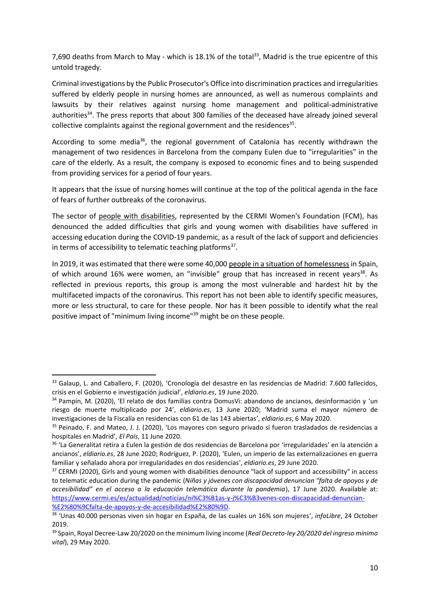7,690 deaths from March to May - which is 18.1% of the total<sup>33</sup>, Madrid is the true epicentre of this untold tragedy.

Criminal investigations by the Public Prosecutor's Office into discrimination practices and irregularities suffered by elderly people in nursing homes are announced, as well as numerous complaints and lawsuits by their relatives against nursing home management and political-administrative authorities<sup>34</sup>. The press reports that about 300 families of the deceased have already joined several collective complaints against the regional government and the residences $35$ .

According to some media<sup>36</sup>, the regional government of Catalonia has recently withdrawn the management of two residences in Barcelona from the company Eulen due to "irregularities" in the care of the elderly. As a result, the company is exposed to economic fines and to being suspended from providing services for a period of four years.

It appears that the issue of nursing homes will continue at the top of the political agenda in the face of fears of further outbreaks of the coronavirus.

The sector of people with disabilities, represented by the CERMI Women's Foundation (FCM), has denounced the added difficulties that girls and young women with disabilities have suffered in accessing education during the COVID-19 pandemic, as a result of the lack of support and deficiencies in terms of accessibility to telematic teaching platforms<sup>37</sup>.

In 2019, it was estimated that there were some 40,000 people in a situation of homelessness in Spain, of which around 16% were women, an "invisible" group that has increased in recent years<sup>38</sup>. As reflected in previous reports, this group is among the most vulnerable and hardest hit by the multifaceted impacts of the coronavirus. This report has not been able to identify specific measures, more or less structural, to care for these people. Nor has it been possible to identify what the real positive impact of "minimum living income"<sup>39</sup> might be on these people.

**.** 

<sup>33</sup> Galaup, L. and Caballero, F. (2020), 'Cronología del desastre en las residencias de Madrid: 7.600 fallecidos, crisis en el Gobierno e investigación judicial', *eldiario.es*, 19 June 2020.

<sup>34</sup> Pampín, M. (2020), 'El relato de dos familias contra DomusVi: abandono de ancianos, desinformación y 'un riesgo de muerte multiplicado por 24', *eldiario.es*, 13 June 2020; 'Madrid suma el mayor número de investigaciones de la Fiscalía en residencias con 61 de las 143 abiertas', *eldiario.es*, 6 May 2020.

<sup>35</sup> Peinado, F. and Mateo, J. J. (2020), 'Los mayores con seguro privado sí fueron trasladados de residencias a hospitales en Madrid', *El País*, 11 June 2020.

<sup>&</sup>lt;sup>36</sup> 'La Generalitat retira a Eulen la gestión de dos residencias de Barcelona por 'irregularidades' en la atención a ancianos', *eldiario.es*, 28 June 2020; Rodríguez, P. (2020), 'Eulen, un imperio de las externalizaciones en guerra familiar y señalado ahora por irregularidades en dos residencias', *eldiario.es*, 29 June 2020.

<sup>&</sup>lt;sup>37</sup> CERMI (2020), Girls and young women with disabilities denounce "lack of support and accessibility" in access to telematic education during the pandemic (*Niñas y jóvenes con discapacidad denuncian "falta de apoyos y de accesibilidad" en el acceso a la educación telemática durante la pandemia*), 17 June 2020. Available at: [https://www.cermi.es/es/actualidad/noticias/ni%C3%B1as-y-j%C3%B3venes-con-discapacidad-denuncian-](about:blank) [%E2%80%9Cfalta-de-apoyos-y-de-accesibilidad%E2%80%9D.](about:blank)

<sup>38</sup> 'Unas 40.000 personas viven sin hogar en España, de las cuales un 16% son mujeres', *infoLibre*, 24 October 2019.

<sup>39</sup> Spain, Royal Decree-Law 20/2020 on the minimum living income (*Real Decreto-ley 20/2020 del ingreso mínimo vital*), 29 May 2020.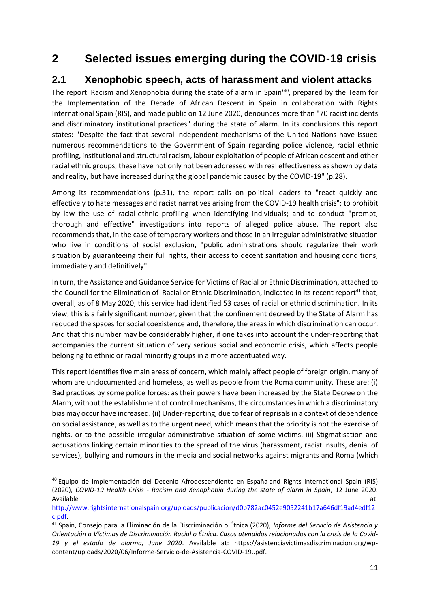# **2 Selected issues emerging during the COVID-19 crisis**

## **2.1 Xenophobic speech, acts of harassment and violent attacks**

The report 'Racism and Xenophobia during the state of alarm in Spain<sup>140</sup>, prepared by the Team for the Implementation of the Decade of African Descent in Spain in collaboration with Rights International Spain (RIS), and made public on 12 June 2020, denounces more than "70 racist incidents and discriminatory institutional practices" during the state of alarm. In its conclusions this report states: "Despite the fact that several independent mechanisms of the United Nations have issued numerous recommendations to the Government of Spain regarding police violence, racial ethnic profiling, institutional and structural racism, labour exploitation of people of African descent and other racial ethnic groups, these have not only not been addressed with real effectiveness as shown by data and reality, but have increased during the global pandemic caused by the COVID-19" (p.28).

Among its recommendations (p.31), the report calls on political leaders to "react quickly and effectively to hate messages and racist narratives arising from the COVID-19 health crisis"; to prohibit by law the use of racial-ethnic profiling when identifying individuals; and to conduct "prompt, thorough and effective" investigations into reports of alleged police abuse. The report also recommends that, in the case of temporary workers and those in an irregular administrative situation who live in conditions of social exclusion, "public administrations should regularize their work situation by guaranteeing their full rights, their access to decent sanitation and housing conditions, immediately and definitively".

In turn, the Assistance and Guidance Service for Victims of Racial or Ethnic Discrimination, attached to the Council for the Elimination of Racial or Ethnic Discrimination, indicated in its recent report<sup>41</sup> that, overall, as of 8 May 2020, this service had identified 53 cases of racial or ethnic discrimination. In its view, this is a fairly significant number, given that the confinement decreed by the State of Alarm has reduced the spaces for social coexistence and, therefore, the areas in which discrimination can occur. And that this number may be considerably higher, if one takes into account the under-reporting that accompanies the current situation of very serious social and economic crisis, which affects people belonging to ethnic or racial minority groups in a more accentuated way.

This report identifies five main areas of concern, which mainly affect people of foreign origin, many of whom are undocumented and homeless, as well as people from the Roma community. These are: (i) Bad practices by some police forces: as their powers have been increased by the State Decree on the Alarm, without the establishment of control mechanisms, the circumstances in which a discriminatory bias may occur have increased. (ii) Under-reporting, due to fear of reprisals in a context of dependence on social assistance, as well as to the urgent need, which means that the priority is not the exercise of rights, or to the possible irregular administrative situation of some victims. iii) Stigmatisation and accusations linking certain minorities to the spread of the virus (harassment, racist insults, denial of services), bullying and rumours in the media and social networks against migrants and Roma (which

 $\overline{a}$ 

<sup>40</sup> Equipo de Implementación del Decenio Afrodescendiente en España and Rights International Spain (RIS) (2020), *COVID-19 Health Crisis - Racism and Xenophobia during the state of alarm in Spain*, 12 June 2020. Available at: the contract of the contract of the contract of the contract of the contract of the contract of the contract of the contract of the contract of the contract of the contract of the contract of the contract of

[http://www.rightsinternationalspain.org/uploads/publicacion/d0b782ac0452e9052241b17a646df19ad4edf12](about:blank) [c.pdf.](about:blank)

<sup>41</sup> Spain, Consejo para la Eliminación de la Discriminación o Étnica (2020), *Informe del Servicio de Asistencia y Orientación a Víctimas de Discriminación Racial o Étnica. Casos atendidos relacionados con la crisis de la Covid-19 y el estado de alarma, June 2020*. Available at: [https://asistenciavictimasdiscriminacion.org/wp](https://asistenciavictimasdiscriminacion.org/wp-content/uploads/2020/06/Informe-Servicio-de-Asistencia-COVID-19..pdf)[content/uploads/2020/06/Informe-Servicio-de-Asistencia-COVID-19..pdf.](https://asistenciavictimasdiscriminacion.org/wp-content/uploads/2020/06/Informe-Servicio-de-Asistencia-COVID-19..pdf)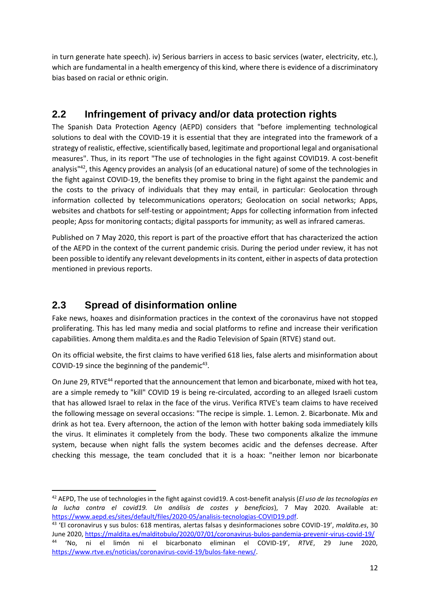in turn generate hate speech). iv) Serious barriers in access to basic services (water, electricity, etc.), which are fundamental in a health emergency of this kind, where there is evidence of a discriminatory bias based on racial or ethnic origin.

# **2.2 Infringement of privacy and/or data protection rights**

The Spanish Data Protection Agency (AEPD) considers that "before implementing technological solutions to deal with the COVID-19 it is essential that they are integrated into the framework of a strategy of realistic, effective, scientifically based, legitimate and proportional legal and organisational measures". Thus, in its report "The use of technologies in the fight against COVID19. A cost-benefit analysis"<sup>42</sup>, this Agency provides an analysis (of an educational nature) of some of the technologies in the fight against COVID-19, the benefits they promise to bring in the fight against the pandemic and the costs to the privacy of individuals that they may entail, in particular: Geolocation through information collected by telecommunications operators; Geolocation on social networks; Apps, websites and chatbots for self-testing or appointment; Apps for collecting information from infected people; Apss for monitoring contacts; digital passports for immunity; as well as infrared cameras.

Published on 7 May 2020, this report is part of the proactive effort that has characterized the action of the AEPD in the context of the current pandemic crisis. During the period under review, it has not been possible to identify any relevant developments in its content, either in aspects of data protection mentioned in previous reports.

# **2.3 Spread of disinformation online**

**.** 

Fake news, hoaxes and disinformation practices in the context of the coronavirus have not stopped proliferating. This has led many media and social platforms to refine and increase their verification capabilities. Among them maldita.es and the Radio Television of Spain (RTVE) stand out.

On its official website, the first claims to have verified 618 lies, false alerts and misinformation about COVID-19 since the beginning of the pandemic $43$ .

On June 29, RTVE<sup>44</sup> reported that the announcement that lemon and bicarbonate, mixed with hot tea, are a simple remedy to "kill" COVID 19 is being re-circulated, according to an alleged Israeli custom that has allowed Israel to relax in the face of the virus. Verifica RTVE's team claims to have received the following message on several occasions: "The recipe is simple. 1. Lemon. 2. Bicarbonate. Mix and drink as hot tea. Every afternoon, the action of the lemon with hotter baking soda immediately kills the virus. It eliminates it completely from the body. These two components alkalize the immune system, because when night falls the system becomes acidic and the defenses decrease. After checking this message, the team concluded that it is a hoax: "neither lemon nor bicarbonate

<sup>42</sup> AEPD, The use of technologies in the fight against covid19. A cost-benefit analysis (*El uso de las tecnologías en la lucha contra el covid19. Un análisis de costes y beneficios*), 7 May 2020. Available at: [https://www.aepd.es/sites/default/files/2020-05/analisis-tecnologias-COVID19.pdf.](about:blank) 

<sup>43</sup> 'El coronavirus y sus bulos: 618 mentiras, alertas falsas y desinformaciones sobre COVID-19', *maldita.es*, 30 June 2020, [https://maldita.es/malditobulo/2020/07/01/coronavirus-bulos-pandemia-prevenir-virus-covid-19/](about:blank) 44 'No, ni el limón ni el bicarbonato eliminan el COVID-19', *RTVE*, 29 June 2020, [https://www.rtve.es/noticias/coronavirus-covid-19/bulos-fake-news/.](about:blank)